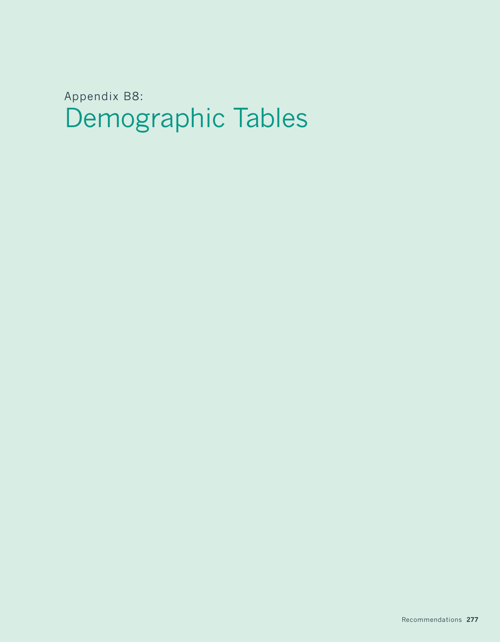Demographic Tables Appendix B8: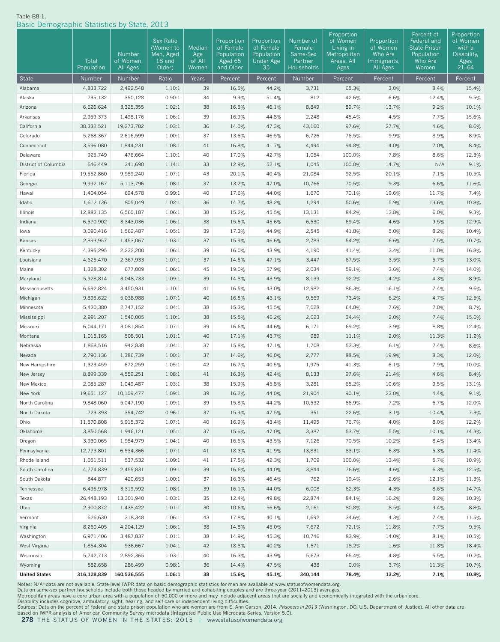#### Table B8.1.

Basic Demographic Statistics by State, 2013

| Dasid Domographic Otatistics by Otate, 2019 |                         |                         |                                               |                         |                                                  |                                                           |                                            |                                                                   |                                                  |                                                                           |                                                         |
|---------------------------------------------|-------------------------|-------------------------|-----------------------------------------------|-------------------------|--------------------------------------------------|-----------------------------------------------------------|--------------------------------------------|-------------------------------------------------------------------|--------------------------------------------------|---------------------------------------------------------------------------|---------------------------------------------------------|
|                                             | Total                   | Number<br>of Women,     | Sex Ratio<br>(Women to<br>Men, Aged<br>18 and | Median<br>Age<br>of All | Proportion<br>of Female<br>Population<br>Aged 65 | Proportion<br>of Female<br>Population<br><b>Under Age</b> | Number of<br>Female<br>Same-Sex<br>Partner | Proportion<br>of Women<br>Living in<br>Metropolitan<br>Areas, All | Proportion<br>of Women<br>Who Are<br>Immigrants, | Percent of<br>Federal and<br><b>State Prison</b><br>Population<br>Who Are | Proportion<br>of Women<br>with a<br>Disability,<br>Ages |
|                                             | Population              | All Ages                | Older)                                        | Women                   | and Older                                        | 35                                                        | Households                                 | Ages                                                              | All Ages                                         | Women                                                                     | $21 - 64$                                               |
| State                                       | Number                  | Number                  | Ratio                                         | Years                   | Percent                                          | Percent                                                   | Number                                     | Percent                                                           | Percent                                          | Percent                                                                   | Percent                                                 |
| Alabama                                     | 4,833,722               | 2,492,548               | 1.10:1                                        | 39                      | 16.5%                                            | 44.2%                                                     | 3,731                                      | 65.3%                                                             | 3.0%                                             | 8.4%                                                                      | 15.4%                                                   |
| Alaska                                      | 735,132                 | 350,128                 | 0.90:1                                        | 34                      | 9.9%                                             | 51.4%                                                     | 812                                        | 42.6%                                                             | 6.6%                                             | 12.4%                                                                     | 9.5%                                                    |
| Arizona                                     | 6,626,624               | 3,325,355               | 1.02:1                                        | 38                      | 16.5%                                            | 46.1%                                                     | 8,849                                      | 89.7%                                                             | 13.7%                                            | 9.2%                                                                      | 10.1%                                                   |
| Arkansas                                    | 2,959,373               | 1,498,176               | 1.06:1                                        | 39                      | 16.9%                                            | 44.8%                                                     | 2,248                                      | 45.4%                                                             | 4.5%                                             | 7.7%                                                                      | 15.6%                                                   |
| California                                  | 38, 332, 521            | 19,273,782              | 1.03:1                                        | 36                      | 14.0%                                            | 47.3%                                                     | 43,160                                     | 97.6%                                                             | 27.7%                                            | 4.6%                                                                      | 8.6%                                                    |
| Colorado                                    | 5,268,367               | 2,616,599               | 1.00:1                                        | 37                      | 13.6%                                            | 46.5%                                                     | 6,726                                      | 76.5%                                                             | 9.9%                                             | 8.9%                                                                      | 8.9%                                                    |
| Connecticut                                 | 3,596,080               | 1,844,231               | 1.08:1                                        | 41                      | 16.8%                                            | 41.7%                                                     | 4,494                                      | 94.8%                                                             | 14.0%                                            | 7.0%                                                                      | 8.4%                                                    |
| Delaware                                    | 925,749                 | 476,664                 | 1.10:1                                        | 40                      | 17.0%                                            | 42.7%                                                     | 1,054                                      | 100.0%                                                            | 7.8%                                             | 8.6%                                                                      | 12.3%                                                   |
| District of Columbia                        | 646,449                 | 341,690                 | 1.14:1                                        | 33                      | 12.9%                                            | 52.1%                                                     | 1,045                                      | 100.0%                                                            | 14.7%                                            | N/A                                                                       | 9.1%                                                    |
| Florida                                     | 19,552,860              | 9,989,240               | 1.07:1                                        | 43                      | 20.1%                                            | 40.4%                                                     | 21,084                                     | 92.5%                                                             | 20.1%                                            | 7.1%                                                                      | 10.5%                                                   |
| Georgia                                     | 9,992,167               | 5,113,796               | 1.08:1                                        | 37                      | 13.2%                                            | 47.0%                                                     | 10,766                                     | 70.5%                                                             | 9.3%                                             | 6.6%                                                                      | 11.6%                                                   |
| Hawaii                                      | 1,404,054               | 694,578                 | 0.99:1                                        | 40                      | 17.6%                                            | 44.0%                                                     | 1,670                                      | 70.1%                                                             | 19.6%                                            | 11.7%                                                                     | 7.4%                                                    |
| Idaho                                       | 1,612,136               | 805,049                 | 1.02:1                                        | 36                      | 14.7%                                            | 48.2%                                                     | 1,294                                      | 50.6%                                                             | 5.9%                                             | 13.6%                                                                     | 10.8%                                                   |
| Illinois                                    | 12,882,135              | 6,560,187               | 1.06:1                                        | 38                      | 15.2%                                            | 45.5%                                                     | 13,131                                     | 84.2%                                                             | 13.8%                                            | 6.0%                                                                      | 9.3%                                                    |
| Indiana                                     | 6,570,902               | 3,343,036               | 1.06:1                                        | 38                      | 15.5%                                            | 45.6%                                                     | 6,530                                      | 69.4%                                                             | 4.6%                                             | 9.5%                                                                      | 12.9%                                                   |
| lowa                                        | 3,090,416               | 1,562,487               | 1.05:1                                        | 39                      | 17.3%                                            | 44.9%                                                     | 2,545                                      | 41.8%                                                             | 5.0%                                             | 8.2%                                                                      | 10.4%                                                   |
| Kansas                                      | 2,893,957               | 1,453,067               | 1.03:1                                        | 37                      | 15.9%                                            | 46.6%                                                     | 2,783                                      | 54.2%                                                             | 6.6%                                             | 7.5%                                                                      | 10.7%                                                   |
| Kentucky                                    | 4,395,295               | 2,232,200               | 1.06:1                                        | 39                      | 16.0%                                            | 43.9%                                                     | 4,190                                      | 41.4%                                                             | 3.4%                                             | 11.0%                                                                     | 16.8%                                                   |
| Louisiana                                   | 4,625,470               | 2,367,933               | 1.07:1                                        | 37                      | 14.5%                                            | 47.1%                                                     | 3,447                                      | 67.5%                                                             | 3.5%                                             | 5.7%                                                                      | 13.0%                                                   |
| Maine                                       | 1,328,302               | 677,009                 | 1.06:1                                        | 45                      | 19.0%                                            | 37.9%                                                     | 2,034                                      | 59.1%                                                             | 3.6%                                             | 7.4%                                                                      | 14.0%                                                   |
| Maryland                                    | 5,928,814               | 3,048,733               | 1.09:1                                        | 39                      | 14.8%                                            | 43.9%                                                     | 8,139                                      | 92.2%                                                             | 14.2%                                            | 4.3%                                                                      | 8.9%                                                    |
| Massachusetts                               | 6,692,824               | 3,450,931               | 1.10:1                                        | 41                      | 16.5%                                            | 43.0%                                                     | 12,982                                     | 86.3%                                                             | 16.1%                                            | 7.4%                                                                      | 9.6%                                                    |
| Michigan                                    | 9,895,622               | 5,038,988               | 1.07:1                                        | 40                      | 16.5%                                            | 43.1%                                                     | 9,569                                      | 73.4%                                                             | 6.2%                                             | 4.7%                                                                      | 12.5%                                                   |
| Minnesota                                   | 5,420,380               | 2,747,152               | 1.04:1                                        | 38                      | 15.3%                                            | 45.5%                                                     | 7,028                                      | 64.8%                                                             | 7.6%                                             | 7.0%                                                                      | 8.7%                                                    |
| Mississippi                                 | 2,991,207               | 1,540,005               | 1.10:1                                        | 38                      | 15.5%                                            | 46.2%                                                     | 2,023                                      | 34.4%                                                             | 2.0%                                             | 7.4%                                                                      | 15.6%                                                   |
| Missouri                                    | 6,044,171               | 3,081,854               | 1.07:1                                        | 39                      | 16.6%                                            | 44.6%                                                     | 6,171                                      | 69.2%                                                             | 3.9%                                             | 8.8%                                                                      | 12.4%                                                   |
| Montana                                     | 1,015,165               | 508,501                 | 1.01:1                                        | 40                      | 17.1%                                            | 43.7%                                                     | 989                                        | 11.1%                                                             | 2.0%                                             | 11.3%                                                                     | 11.2%                                                   |
| Nebraska                                    | 1,868,516               | 942,838                 | 1.04:1                                        | 37                      | 15.8%                                            | 47.1%                                                     | 1,708                                      | 53.3%                                                             | 6.1%                                             | 7.4%                                                                      | 8.6%                                                    |
| Nevada                                      | 2,790,136               | 1,386,739               | 1.00:1                                        | 37                      | 14.6%                                            | 46.0%                                                     | 2,777                                      | 88.5%                                                             | 19.9%                                            | 8.3%                                                                      | 12.0%                                                   |
| New Hampshire                               | 1,323,459               | 672,259                 | 1.05:1                                        | 42                      | 16.7%                                            | 40.5%                                                     | 1,975                                      | 41.3%                                                             | 6.1%                                             | 7.9%                                                                      | 10.0%                                                   |
| New Jersey                                  | 8,899,339               | 4,559,251               | 1.08:1                                        | 41                      | 16.3%                                            | 42.4%                                                     | 8,133                                      | 97.6%                                                             | 21.4%                                            | 4.6%                                                                      | 8.4%                                                    |
| New Mexico<br>New York                      | 2,085,287<br>19,651,127 | 1,049,487               | 1.03:1                                        | 38                      | 15.9%                                            | 45.8%                                                     | 3,281                                      | 65.2%                                                             | 10.6%                                            | 9.5%                                                                      | 13.1%                                                   |
| North Carolina                              | 9,848,060               | 10,109,477<br>5,047,190 | 1.09:1                                        | 39                      | 16.2%                                            | 44.0%                                                     | 21,904                                     | 90.1%                                                             | 23.0%<br>7.2%                                    | 4.4%                                                                      | 9.1%                                                    |
|                                             | 723,393                 | 354,742                 | 1.09:1<br>0.96:1                              | 39                      | 15.8%<br>15.9%                                   | 44.2%                                                     | 10,532<br>351                              | 66.9%                                                             |                                                  | 6.7%                                                                      | 12.0%<br>7.3%                                           |
| North Dakota<br>Ohio                        | 11,570,808              | 5,915,372               | 1.07:1                                        | 37<br>40                | 16.9%                                            | 47.5%                                                     | 11,495                                     | 22.6%<br>76.7%                                                    | 3.1%<br>4.0%                                     | 10.4%<br>8.0%                                                             | 12.2%                                                   |
| Oklahoma                                    | 3,850,568               | 1,946,121               | 1.05:1                                        | 37                      | 15.6%                                            | 43.4%<br>47.0%                                            | 3,387                                      | 53.7%                                                             | 5.5%                                             | 10.1%                                                                     | 14.3%                                                   |
| Oregon                                      | 3,930,065               | 1,984,979               | 1.04:1                                        | 40                      | 16.6%                                            | 43.5%                                                     | 7,126                                      | 70.5%                                                             | 10.2%                                            | 8.4%                                                                      | 13.4%                                                   |
| Pennsylvania                                | 12,773,801              | 6,534,366               | 1.07:1                                        | 41                      | 18.3%                                            | 41.9%                                                     | 13,831                                     | 83.1%                                                             | 6.3%                                             | 5.3%                                                                      | 11.4%                                                   |
| Rhode Island                                | 1,051,511               | 537,532                 | 1.09:1                                        | 41                      | 17.5%                                            | 42.3%                                                     | 1,709                                      | 100.0%                                                            | 13.4%                                            | 5.7%                                                                      | 10.9%                                                   |
| South Carolina                              | 4,774,839               | 2,455,831               | 1.09:1                                        | 39                      | 16.6%                                            | 44.0%                                                     | 3,844                                      | 76.6%                                                             | $4.6\%$                                          | 6.3%                                                                      | 12.5%                                                   |
| South Dakota                                | 844,877                 | 420,653                 | 1.00:1                                        | 37                      | 16.3%                                            | 46.4%                                                     | 762                                        | 19.4%                                                             | 2.6%                                             | 12.1%                                                                     | 11.3%                                                   |
| Tennessee                                   | 6,495,978               | 3,319,592               | 1.08:1                                        | 39                      | 16.1%                                            | 44.0%                                                     | 6,008                                      | 62.3%                                                             | 4.3%                                             | 8.6%                                                                      | 14.7%                                                   |
| Texas                                       | 26,448,193              | 13,301,940              | 1.03:1                                        | 35                      | 12.4%                                            | 49.8%                                                     | 22,874                                     | 84.1%                                                             | 16.2%                                            | 8.2%                                                                      | 10.3%                                                   |
| Utah                                        | 2,900,872               | 1,438,422               | 1.01:1                                        | 30                      | 10.6%                                            | 56.6%                                                     | 2,161                                      | 80.8%                                                             | 8.5%                                             | 9.4%                                                                      | 8.8%                                                    |
| Vermont                                     | 626,630                 | 318,348                 | 1.06:1                                        | 43                      | 17.8%                                            | 40.1%                                                     | 1,692                                      | 34.6%                                                             | 4.3%                                             | 7.4%                                                                      | 11.5%                                                   |
| Virginia                                    | 8,260,405               | 4,204,129               | 1.06:1                                        | 38                      | 14.8%                                            | 45.0%                                                     | 7,672                                      | 72.1%                                                             | 11.8%                                            | 7.7%                                                                      | 9.5%                                                    |
| Washington                                  | 6,971,406               | 3,487,837               | 1.01:1                                        | 38                      | 14.9%                                            | 45.3%                                                     | 10,746                                     | 83.9%                                                             | 14.0%                                            | 8.1%                                                                      | 10.5%                                                   |
| West Virginia                               | 1,854,304               | 936,667                 | 1.04:1                                        | 42                      | 18.8%                                            | 40.2%                                                     | 1,571                                      | 18.2%                                                             | $1.6\%$                                          | 11.8%                                                                     | 18.4%                                                   |
| Wisconsin                                   | 5,742,713               | 2,892,365               | 1.03:1                                        | 40                      | 16.3%                                            | 43.9%                                                     | 5,673                                      | 65.4%                                                             | 4.8%                                             | 5.5%                                                                      | 10.2%                                                   |
| Wyoming                                     | 582,658                 | 286,499                 | 0.98:1                                        | 36                      | 14.4%                                            | 47.5%                                                     | 438                                        | 0.0%                                                              | 3.7%                                             | 11.3%                                                                     | 10.7%                                                   |
| <b>United States</b>                        | 316,128,839             | 160,536,555             | 1.06:1                                        | 38                      | 15.6%                                            | 45.1%                                                     | 340,144                                    | 78.4%                                                             | 13.2%                                            | 7.1%                                                                      | 10.8%                                                   |
|                                             |                         |                         |                                               |                         |                                                  |                                                           |                                            |                                                                   |                                                  |                                                                           |                                                         |

Notes: N/A=data are not available. State-level IWPR data on basic demographic statistics for men are available at www.statusofwomendata.org.

Data on same-sex partner households include both those headed by married and cohabiting couples and are three-year (2011–2013) averages.<br>Disability includes cognitive, ambulatory, sight, hearing, and self-care or independe

**278** THE STATUS OF WOMEN IN THE STATES: 2015 | www.statusofwomendata.org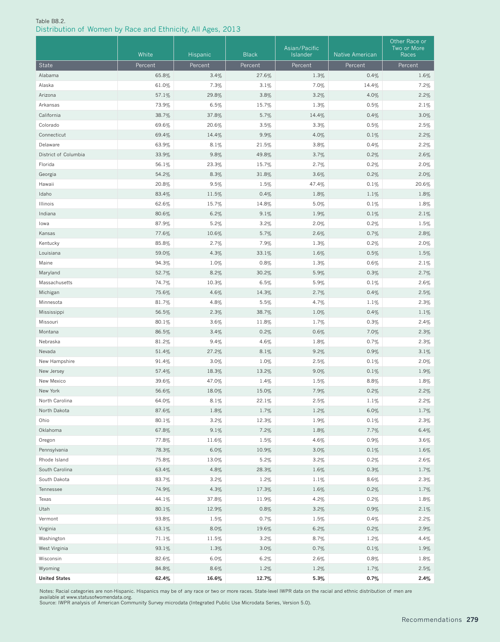#### Table B8.2. Distribution of Women by Race and Ethnicity, All Ages, 2013

|                      | White   | Hispanic | <b>Black</b> | Asian/Pacific<br>Islander | <b>Native American</b> | Other Race or<br>Two or More<br>Races |
|----------------------|---------|----------|--------------|---------------------------|------------------------|---------------------------------------|
| State                | Percent | Percent  | Percent      | Percent                   | Percent                | Percent                               |
| Alabama              | 65.8%   | 3.4%     | 27.6%        | 1.3%                      | 0.4%                   | 1.6%                                  |
| Alaska               | 61.0%   | 7.3%     | 3.1%         | 7.0%                      | 14.4%                  | 7.2%                                  |
| Arizona              | 57.1%   | 29.8%    | 3.8%         | 3.2%                      | 4.0%                   | 2.2%                                  |
| Arkansas             | 73.9%   | 6.5%     | 15.7%        | 1.3%                      | 0.5%                   | 2.1%                                  |
| California           | 38.7%   | 37.8%    | 5.7%         | 14.4%                     | 0.4%                   | 3.0%                                  |
| Colorado             | 69.6%   | 20.6%    | 3.5%         | 3.3%                      | 0.5%                   | 2.5%                                  |
| Connecticut          | 69.4%   | 14.4%    | 9.9%         | 4.0%                      | 0.1%                   | 2.2%                                  |
| Delaware             | 63.9%   | 8.1%     | 21.5%        | $3.8\%$                   | 0.4%                   | 2.2%                                  |
| District of Columbia | 33.9%   | 9.8%     | 49.8%        | 3.7%                      | 0.2%                   | 2.6%                                  |
| Florida              | 56.1%   | 23.3%    | 15.7%        | 2.7%                      | 0.2%                   | 2.0%                                  |
| Georgia              | 54.2%   | 8.3%     | 31.8%        | 3.6%                      | 0.2%                   | 2.0%                                  |
| Hawaii               | 20.8%   | 9.5%     | 1.5%         | 47.4%                     | 0.1%                   | 20.6%                                 |
| Idaho                | 83.4%   | 11.5%    | 0.4%         | 1.8%                      | 1.1%                   | 1.8%                                  |
| Illinois             | 62.6%   | 15.7%    | 14.8%        | 5.0%                      | 0.1%                   | 1.8%                                  |
| Indiana              | 80.6%   | 6.2%     | 9.1%         | 1.9%                      | 0.1%                   | 2.1%                                  |
| lowa                 | 87.9%   | 5.2%     | 3.2%         | 2.0%                      | 0.2%                   | 1.5%                                  |
| Kansas               | 77.6%   | 10.6%    | 5.7%         | 2.6%                      | 0.7%                   | 2.8%                                  |
| Kentucky             | 85.8%   | 2.7%     | 7.9%         | 1.3%                      | 0.2%                   | 2.0%                                  |
| Louisiana            | 59.0%   | 4.3%     | 33.1%        | 1.6%                      | 0.5%                   | 1.5%                                  |
| Maine                | 94.3%   | 1.0%     | 0.8%         | 1.3%                      | 0.6%                   | 2.1%                                  |
| Maryland             | 52.7%   | 8.2%     | 30.2%        | 5.9%                      | 0.3%                   | 2.7%                                  |
| Massachusetts        | 74.7%   | 10.3%    | 6.5%         | 5.9%                      | 0.1%                   | 2.6%                                  |
| Michigan             | 75.6%   | 4.6%     | 14.3%        | 2.7%                      | 0.4%                   | 2.5%                                  |
| Minnesota            | 81.7%   | 4.8%     | 5.5%         | 4.7%                      | 1.1%                   | 2.3%                                  |
| Mississippi          | 56.5%   | 2.3%     | 38.7%        | 1.0%                      | 0.4%                   | 1.1%                                  |
| Missouri             | 80.1%   | 3.6%     | 11.8%        | 1.7%                      | 0.3%                   | 2.4%                                  |
| Montana              | 86.5%   | 3.4%     | 0.2%         | 0.6%                      | 7.0%                   | 2.3%                                  |
| Nebraska             | 81.2%   | 9.4%     | 4.6%         | 1.8%                      | 0.7%                   | 2.3%                                  |
| Nevada               | 51.4%   | 27.2%    | 8.1%         | 9.2%                      | 0.9%                   | 3.1%                                  |
| New Hampshire        | 91.4%   | 3.0%     | 1.0%         | 2.5%                      | 0.1%                   | 2.0%                                  |
| New Jersey           | 57.4%   | 18.3%    | 13.2%        | 9.0%                      | 0.1%                   | 1.9%                                  |
| New Mexico           | 39.6%   | 47.0%    | 1.4%         | 1.5%                      | 8.8%                   | 1.8%                                  |
| New York             | 56.6%   | 18.0%    | $15.0\%$     | $7.9\%$                   | 0.2%                   | 2.2%                                  |
| North Carolina       | 64.0%   | 8.1%     | 22.1%        | 2.5%                      | 1.1%                   | 2.2%                                  |
| North Dakota         | 87.6%   | 1.8%     | 1.7%         | 1.2%                      | 6.0%                   | 1.7%                                  |
| Ohio                 | 80.1%   | 3.2%     | 12.3%        | 1.9%                      | 0.1%                   | 2.3%                                  |
| Oklahoma             | 67.8%   | 9.1%     | 7.2%         | 1.8%                      | 7.7%                   | 6.4%                                  |
| Oregon               | 77.8%   | 11.6%    | 1.5%         | 4.6%                      | 0.9%                   | 3.6%                                  |
| Pennsylvania         | 78.3%   | 6.0%     | 10.9%        | 3.0%                      | 0.1%                   | 1.6%                                  |
| Rhode Island         | 75.8%   | 13.0%    | 5.2%         | 3.2%                      | 0.2%                   | 2.6%                                  |
| South Carolina       | 63.4%   | 4.8%     | 28.3%        | 1.6%                      | 0.3%                   | 1.7%                                  |
| South Dakota         | 83.7%   | 3.2%     | 1.2%         | 1.1%                      | $8.6\%$                | 2.3%                                  |
| Tennessee            | 74.9%   | 4.3%     | 17.3%        | 1.6%                      | 0.2%                   | 1.7%                                  |
| Texas                | 44.1%   | 37.8%    | 11.9%        | 4.2%                      | 0.2%                   | 1.8%                                  |
| Utah                 | 80.1%   | 12.9%    | 0.8%         | 3.2%                      | 0.9%                   | 2.1%                                  |
| Vermont              | 93.8%   | 1.5%     | 0.7%         | 1.5%                      | 0.4%                   | 2.2%                                  |
| Virginia             | 63.1%   | 8.0%     | 19.6%        | 6.2%                      | 0.2%                   | 2.9%                                  |
| Washington           | 71.1%   | 11.5%    | 3.2%         | 8.7%                      | 1.2%                   | 4.4%                                  |
| West Virginia        | 93.1%   | 1.3%     | 3.0%         | 0.7%                      | 0.1%                   | 1.9%                                  |
| Wisconsin            | 82.6%   | 6.0%     | 6.2%         | 2.6%                      | 0.8%                   | $1.8\%$                               |
| Wyoming              | 84.8%   | 8.6%     | 1.2%         | 1.2%                      | 1.7%                   | 2.5%                                  |
| <b>United States</b> | 62.4%   | 16.6%    | 12.7%        | 5.3%                      | 0.7%                   | 2.4%                                  |

Notes: Racial categories are non-Hispanic. Hispanics may be of any race or two or more races. State-level IWPR data on the racial and ethnic distribution of men are<br>available at www.statusofwomendata.org.<br>Source: IWPR anal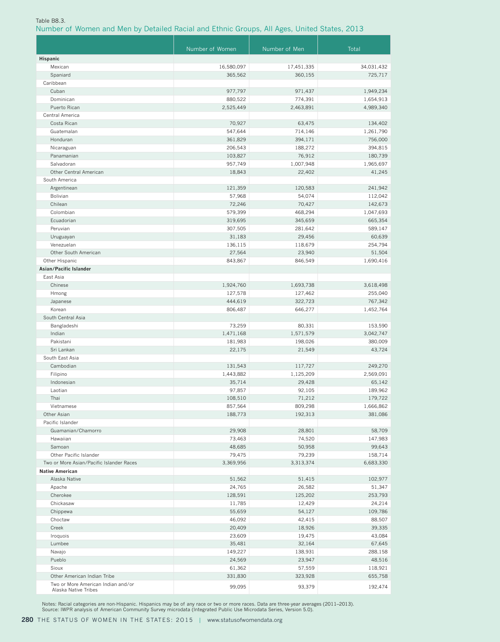#### Table B8.3.

# Number of Women and Men by Detailed Racial and Ethnic Groups, All Ages, United States, 2013

|                                                            | Number of Women   | Number of Men    | Total              |
|------------------------------------------------------------|-------------------|------------------|--------------------|
| <b>Hispanic</b>                                            |                   |                  |                    |
| Mexican                                                    | 16,580,097        | 17,451,335       | 34,031,432         |
| Spaniard                                                   | 365,562           | 360,155          | 725,717            |
| Caribbean                                                  |                   |                  |                    |
| Cuban                                                      | 977,797           | 971,437          | 1,949,234          |
| Dominican                                                  | 880,522           | 774,391          | 1,654,913          |
| Puerto Rican                                               | 2,525,449         | 2,463,891        | 4,989,340          |
| Central America                                            |                   |                  |                    |
| Costa Rican                                                | 70,927            | 63,475           | 134,402            |
| Guatemalan                                                 | 547,644           | 714,146          | 1,261,790          |
| Honduran                                                   | 361,829           | 394,171          | 756,000            |
| Nicaraguan                                                 | 206,543           | 188,272          | 394,815            |
| Panamanian                                                 | 103,827           | 76,912           | 180,739            |
| Salvadoran                                                 | 957,749           | 1,007,948        | 1,965,697          |
| Other Central American                                     | 18,843            | 22,402           | 41,245             |
| South America                                              |                   |                  |                    |
| Argentinean                                                | 121,359           | 120.583          | 241,942            |
| Bolivian                                                   | 57,968            | 54,074<br>70,427 | 112,042<br>142,673 |
| Chilean<br>Colombian                                       | 72,246<br>579,399 | 468,294          | 1,047,693          |
| Ecuadorian                                                 | 319,695           | 345,659          | 665,354            |
| Peruvian                                                   | 307,505           | 281,642          | 589,147            |
| Uruguayan                                                  | 31,183            | 29,456           | 60,639             |
| Venezuelan                                                 | 136,115           | 118,679          | 254,794            |
| Other South American                                       | 27,564            | 23,940           | 51,504             |
| Other Hispanic                                             | 843,867           | 846,549          | 1,690,416          |
| Asian/Pacific Islander                                     |                   |                  |                    |
| East Asia                                                  |                   |                  |                    |
| Chinese                                                    | 1,924,760         | 1,693,738        | 3,618,498          |
| Hmong                                                      | 127,578           | 127,462          | 255,040            |
| Japanese                                                   | 444,619           | 322,723          | 767,342            |
| Korean                                                     | 806,487           | 646,277          | 1,452,764          |
| South Central Asia                                         |                   |                  |                    |
| Bangladeshi                                                | 73,259            | 80,331           | 153,590            |
| Indian                                                     | 1,471,168         | 1,571,579        | 3,042,747          |
| Pakistani                                                  | 181,983           | 198,026          | 380,009            |
| Sri Lankan                                                 | 22,175            | 21,549           | 43,724             |
| South East Asia                                            |                   |                  |                    |
| Cambodian                                                  | 131,543           | 117,727          | 249,270            |
| Filipino                                                   | 1,443,882         | 1,125,209        | 2,569,091          |
| Indonesian                                                 | 35,714            | 29,428           | 65,142             |
| Laotian                                                    | 97,857            | 92,105           | 189,962            |
| Thai                                                       | 108,510           | 71,212           | 179,722            |
| Vietnamese                                                 | 857,564           | 809,298          | 1,666,862          |
| Other Asian                                                | 188,773           | 192,313          | 381,086            |
| Pacific Islander<br>Guamanian/Chamorro                     | 29,908            |                  | 58,709             |
| Hawaiian                                                   | 73,463            | 28,801<br>74,520 | 147,983            |
| Samoan                                                     | 48,685            | 50,958           | 99,643             |
| Other Pacific Islander                                     | 79,475            | 79,239           | 158,714            |
| Two or More Asian/Pacific Islander Races                   | 3,369,956         | 3,313,374        | 6,683,330          |
| <b>Native American</b>                                     |                   |                  |                    |
| Alaska Native                                              | 51,562            | 51,415           | 102,977            |
| Apache                                                     | 24,765            | 26,582           | 51,347             |
| Cherokee                                                   | 128,591           | 125,202          | 253,793            |
| Chickasaw                                                  | 11,785            | 12,429           | 24,214             |
| Chippewa                                                   | 55,659            | 54,127           | 109,786            |
| Choctaw                                                    | 46,092            | 42,415           | 88,507             |
| Creek                                                      | 20,409            | 18,926           | 39,335             |
| Iroquois                                                   | 23,609            | 19,475           | 43,084             |
| Lumbee                                                     | 35,481            | 32,164           | 67,645             |
| Navajo                                                     | 149,227           | 138,931          | 288,158            |
| Pueblo                                                     | 24,569            | 23,947           | 48,516             |
| Sioux                                                      | 61,362            | 57,559           | 118,921            |
| Other American Indian Tribe                                | 331,830           | 323,928          | 655,758            |
| Two or More American Indian and/or<br>Alaska Native Tribes | 99,095            | 93,379           | 192,474            |

Notes: Racial categories are non-Hispanic. Hispanics may be of any race or two or more races. Data are three-year averages (2011–2013).<br>Source: IWPR analysis of American Community Survey microdata (Integrated Public Use Mi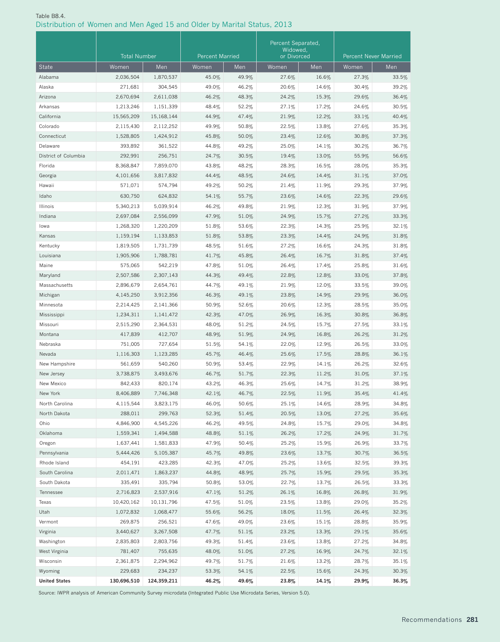# Table B8.4. Distribution of Women and Men Aged 15 and Older by Marital Status, 2013

|                      | <b>Total Number</b> |             | <b>Percent Married</b> |       | Percent Separated,<br>Widowed,<br>or Divorced |       | <b>Percent Never Married</b> |       |
|----------------------|---------------------|-------------|------------------------|-------|-----------------------------------------------|-------|------------------------------|-------|
| <b>State</b>         | Women               | Men         | Women                  | Men   | Women                                         | Men   | Women                        | Men   |
| Alabama              | 2,036,504           | 1,870,537   | 45.0%                  | 49.9% | 27.6%                                         | 16.6% | 27.3%                        | 33.5% |
| Alaska               | 271,681             | 304,545     | 49.0%                  | 46.2% | 20.6%                                         | 14.6% | 30.4%                        | 39.2% |
| Arizona              | 2,670,694           | 2,611,038   | 46.2%                  | 48.3% | 24.2%                                         | 15.3% | 29.6%                        | 36.4% |
| Arkansas             | 1,213,246           | 1,151,339   | 48.4%                  | 52.2% | 27.1%                                         | 17.2% | 24.6%                        | 30.5% |
| California           | 15,565,209          | 15,168,144  | 44.9%                  | 47.4% | 21.9%                                         | 12.2% | 33.1%                        | 40.4% |
| Colorado             | 2,115,430           | 2,112,252   | 49.9%                  | 50.8% | 22.5%                                         | 13.8% | 27.6%                        | 35.3% |
| Connecticut          | 1,528,805           | 1,424,912   | 45.8%                  | 50.0% | 23.4%                                         | 12.6% | 30.8%                        | 37.3% |
| Delaware             | 393,892             | 361,522     | 44.8%                  | 49.2% | 25.0%                                         | 14.1% | 30.2%                        | 36.7% |
| District of Columbia | 292,991             | 256,751     | 24.7%                  | 30.5% | 19.4%                                         | 13.0% | 55.9%                        | 56.6% |
| Florida              | 8,368,847           | 7,859,070   | 43.8%                  | 48.2% | 28.3%                                         | 16.5% | 28.0%                        | 35.3% |
| Georgia              | 4,101,656           | 3,817,832   | 44.4%                  | 48.5% | 24.6%                                         | 14.4% | 31.1%                        | 37.0% |
| Hawaii               | 571,071             | 574,794     | 49.2%                  | 50.2% | 21.4%                                         | 11.9% | 29.3%                        | 37.9% |
| Idaho                | 630,750             | 624,832     | 54.1%                  | 55.7% | 23.6%                                         | 14.6% | 22.3%                        | 29.6% |
| Illinois             | 5,340,213           | 5,039,914   | 46.2%                  | 49.8% | 21.9%                                         | 12.3% | 31.9%                        | 37.9% |
| Indiana              | 2,697,084           | 2,556,099   | 47.9%                  | 51.0% | 24.9%                                         | 15.7% | 27.2%                        | 33.3% |
| lowa                 | 1,268,320           | 1,220,209   | 51.8%                  | 53.6% | 22.3%                                         | 14.3% | 25.9%                        | 32.1% |
| Kansas               | 1,159,194           | 1,133,853   | 51.8%                  | 53.8% | 23.3%                                         | 14.4% | 24.9%                        | 31.8% |
| Kentucky             | 1,819,505           | 1,731,739   | 48.5%                  | 51.6% | 27.2%                                         | 16.6% | 24.3%                        | 31.8% |
| Louisiana            | 1,905,906           | 1,788,781   | 41.7%                  | 45.8% | 26.4%                                         | 16.7% | 31.8%                        | 37.4% |
| Maine                | 575,065             | 542,219     | 47.8%                  | 51.0% | 26.4%                                         | 17.4% | 25.8%                        | 31.6% |
| Maryland             | 2,507,586           | 2,307,143   | 44.3%                  | 49.4% | 22.8%                                         | 12.8% | 33.0%                        | 37.8% |
| Massachusetts        | 2,896,679           | 2,654,761   | 44.7%                  | 49.1% | 21.9%                                         | 12.0% | 33.5%                        | 39.0% |
| Michigan             | 4,145,250           | 3,912,356   | 46.3%                  | 49.1% | 23.8%                                         | 14.9% | 29.9%                        | 36.0% |
| Minnesota            | 2,214,425           | 2,141,366   | 50.9%                  | 52.6% | 20.6%                                         | 12.3% | 28.5%                        | 35.0% |
| Mississippi          | 1,234,311           | 1,141,472   | 42.3%                  | 47.0% | 26.9%                                         | 16.3% | 30.8%                        | 36.8% |
| Missouri             | 2,515,290           | 2,364,531   | 48.0%                  | 51.2% | 24.5%                                         | 15.7% | 27.5%                        | 33.1% |
| Montana              | 417,839             | 412,707     | 48.9%                  | 51.9% | 24.9%                                         | 16.8% | 26.2%                        | 31.2% |
| Nebraska             | 751,005             | 727,654     | 51.5%                  | 54.1% | 22.0%                                         | 12.9% | 26.5%                        | 33.0% |
| Nevada               | 1,116,303           | 1,123,285   | 45.7%                  | 46.4% | 25.6%                                         | 17.5% | 28.8%                        | 36.1% |
| New Hampshire        | 561,659             | 540,260     | 50.9%                  | 53.4% | 22.9%                                         | 14.1% | 26.2%                        | 32.6% |
| New Jersey           | 3,738,875           | 3,493,676   | 46.7%                  | 51.7% | 22.3%                                         | 11.2% | 31.0%                        | 37.1% |
| New Mexico           | 842,433             | 820,174     | 43.2%                  | 46.3% | 25.6%                                         | 14.7% | 31.2%                        | 38.9% |
| New York             | 8,406,889           | 7,746,348   | 42.1%                  | 46.7% | 22.5%                                         | 11.9% | 35.4%                        | 41.4% |
| North Carolina       | 4,115,544           | 3,823,175   | 46.0%                  | 50.6% | 25.1%                                         | 14.6% | 28.9%                        | 34.8% |
| North Dakota         | 288,011             | 299,763     | 52.3%                  | 51.4% | 20.5%                                         | 13.0% | 27.2%                        | 35.6% |
| Ohio                 | 4,846,900           | 4,545,226   | 46.2%                  | 49.5% | 24.8%                                         | 15.7% | 29.0%                        | 34.8% |
| Oklahoma             | 1,559,341           | 1,494,588   | 48.8%                  | 51.1% | 26.2%                                         | 17.2% | 24.9%                        | 31.7% |
| Oregon               | 1,637,441           | 1,581,833   | 47.9%                  | 50.4% | 25.2%                                         | 15.9% | 26.9%                        | 33.7% |
| Pennsylvania         | 5,444,426           | 5,105,387   | 45.7%                  | 49.8% | 23.6%                                         | 13.7% | 30.7%                        | 36.5% |
| Rhode Island         | 454,191             | 423,285     | 42.3%                  | 47.0% | 25.2%                                         | 13.6% | 32.5%                        | 39.3% |
| South Carolina       | 2,011,471           | 1,863,237   | 44.8%                  | 48.9% | 25.7%                                         | 15.9% | 29.5%                        | 35.3% |
| South Dakota         | 335,491             | 335,794     | 50.8%                  | 53.0% | 22.7%                                         | 13.7% | 26.5%                        | 33.3% |
| Tennessee            | 2,716,823           | 2,537,916   | 47.1%                  | 51.2% | 26.1%                                         | 16.8% | 26.8%                        | 31.9% |
| Texas                | 10,420,162          | 10,131,796  | 47.5%                  | 51.0% | 23.5%                                         | 13.8% | 29.0%                        | 35.2% |
| Utah                 | 1,072,832           | 1,068,477   | 55.6%                  | 56.2% | 18.0%                                         | 11.5% | 26.4%                        | 32.3% |
| Vermont              | 269,875             | 256,521     | 47.6%                  | 49.0% | 23.6%                                         | 15.1% | 28.8%                        | 35.9% |
| Virginia             | 3,440,627           | 3,267,508   | 47.7%                  | 51.1% | 23.2%                                         | 13.3% | 29.1%                        | 35.6% |
| Washington           | 2,835,803           | 2,803,756   | 49.3%                  | 51.4% | 23.6%                                         | 13.8% | 27.2%                        | 34.8% |
| West Virginia        | 781,407             | 755,635     | 48.0%                  | 51.0% | 27.2%                                         | 16.9% | 24.7%                        | 32.1% |
| Wisconsin            | 2,361,875           | 2,294,962   | 49.7%                  | 51.7% | 21.6%                                         | 13.2% | 28.7%                        | 35.1% |
| Wyoming              | 229,683             | 234,237     | 53.3%                  | 54.1% | 22.5%                                         | 15.6% | 24.3%                        | 30.3% |
| <b>United States</b> | 130,696,510         | 124,359,211 | 46.2%                  | 49.6% | 23.8%                                         | 14.1% | 29.9%                        | 36.3% |

Source: IWPR analysis of American Community Survey microdata (Integrated Public Use Microdata Series, Version 5.0).